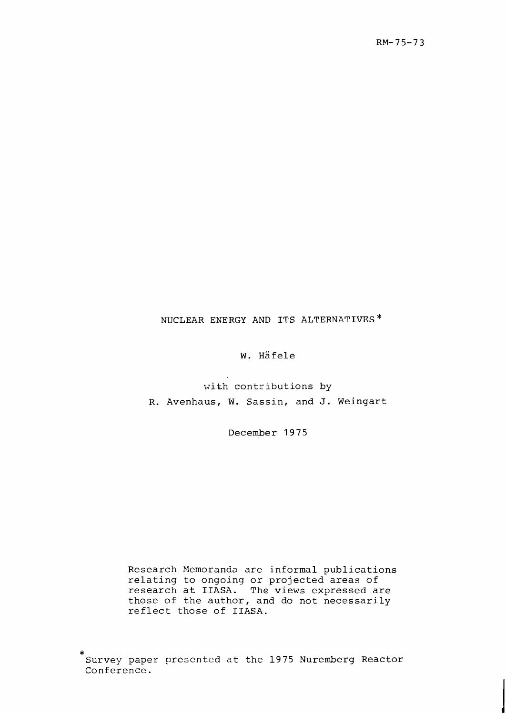# NUCLEAR ENERGY AND ITS ALTERNATIVES\*

## W. Häfele

with contributions by R. Avenhaus, W. Sassin, and J. Weingart

December 1975

Research Memoranda are informal publications relating to ongoing or projected areas of research at IIASA. The views expressed are those of the author, and do not necessarily reflect those of IIASA.

\* Survey paper presented at the 1975 Nuremberg Reactor Conference.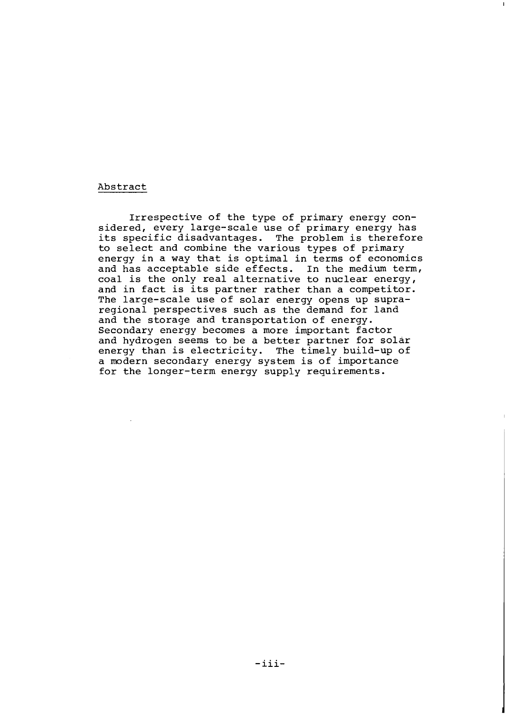## Abstract

Irrespective of the type of primary energy considered, every large-scale use of primary energy has its specific disadvantages. The problem is therefore to select and combine the various types of primary energy in a way that is optimal in terms of economics and has acceptable side effects. In the medium term, coal is the only real alternative to nuclear energy, and in fact is its partner rather than a competitor. The large-scale use of solar energy opens up supraregional perspectives such as the demand for land and the storage and transportation of energy. Secondary energy becomes a more important factor and hydrogen seems to be a better partner for solar energy than is electricity. The timely build-up of a modern secondary energy system is of importance for the longer-term energy supply requirements.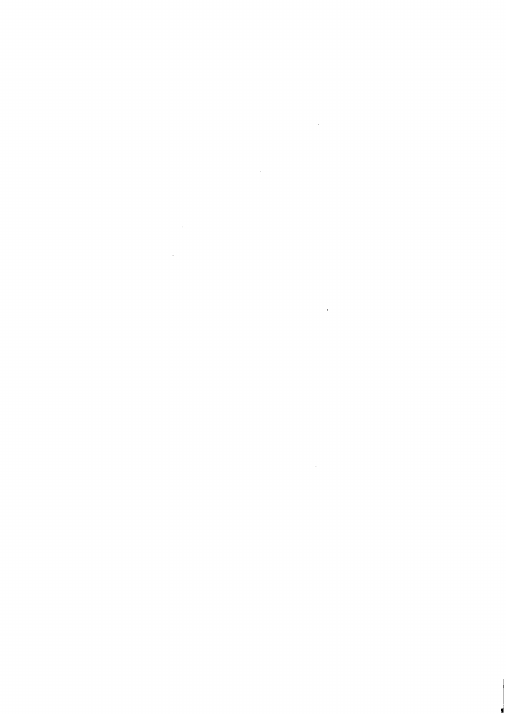$\mathcal{L}(\mathcal{L})$  and  $\mathcal{L}(\mathcal{L})$  .  $\label{eq:2.1} \frac{1}{\sqrt{2}}\int_{0}^{\infty}\frac{1}{\sqrt{2\pi}}\left(\frac{1}{\sqrt{2\pi}}\right)^{2\alpha}\frac{1}{\sqrt{2\pi}}\int_{0}^{\infty}\frac{1}{\sqrt{2\pi}}\left(\frac{1}{\sqrt{2\pi}}\right)^{\alpha}\frac{1}{\sqrt{2\pi}}\frac{1}{\sqrt{2\pi}}\frac{1}{\sqrt{2\pi}}\frac{1}{\sqrt{2\pi}}\frac{1}{\sqrt{2\pi}}\frac{1}{\sqrt{2\pi}}\frac{1}{\sqrt{2\pi}}\frac{1}{\sqrt{2\pi}}\frac{1}{\sqrt{2\pi$ 

 $\label{eq:2.1} \frac{1}{\sqrt{2}}\int_{\mathbb{R}^3}\frac{1}{\sqrt{2}}\left(\frac{1}{\sqrt{2}}\right)^2\frac{1}{\sqrt{2}}\left(\frac{1}{\sqrt{2}}\right)^2\frac{1}{\sqrt{2}}\left(\frac{1}{\sqrt{2}}\right)^2\frac{1}{\sqrt{2}}\left(\frac{1}{\sqrt{2}}\right)^2.$  $\mathcal{L}(\mathcal{L}(\mathcal{L}))$  . The set of  $\mathcal{L}(\mathcal{L})$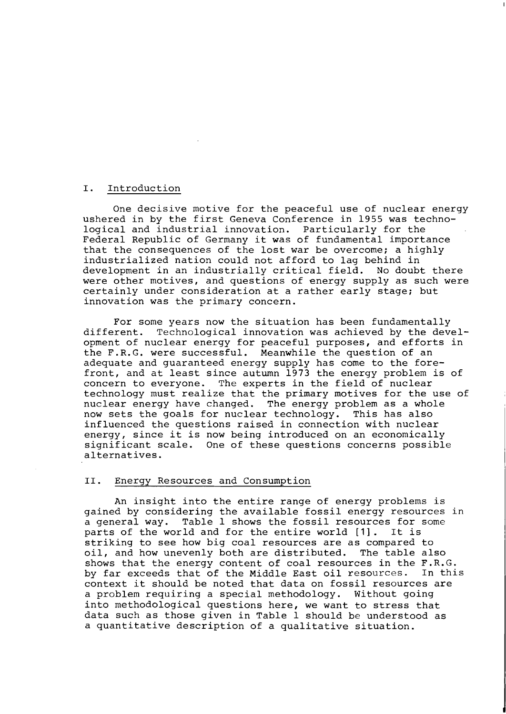## I. Introduction

One decisive motive for the peaceful use of nuclear energy ushered in by the first Geneva Conference in 1955 was technological and industrial innovation. Particularly for the Federal Republic of Germany it was of fundamental importance that the consequences of the lost war be overcome; a highly industrialized nation could not afford to lag behind in development in an industrially critical field. No doubt there were other motives, and questions of energy supply as such were certainly under consideration at a rather early stage; but innovation was the primary concern.

For some years now the situation has been fundamentally different. Technological innovation was achieved by the development of nuclear energy for peaceful purposes, and efforts in the F.R.G. were successful. Meanwhile the question of an Meanwhile the question of an adequate and guaranteed energy supply has come to the forefront, and at least since autumn 1973 the energy problem is of concern to everyone. The experts in the field of nuclear technology must realize that the primary motives for the use of nuclear energy have changed. The energy problem as a whole now sets the goals for nuclear technology. This has also influenced the questions raised in connection with nuclear energy, since it is now being introduced on an economically significant scale. One of these questions concerns possible alternatives.

#### 11. Energy Resources and Consumption

An insight into the entire range of energy problems is gained by considering the available fossil energy resources in a general way. Table 1 shows the fossil resources for some parts of the world and for the entire world [I]. It is striking to see how big coal resources are as compared to oil, and how unevenly both are distributed. The table also shows that the energy content of coal resources in the F.R.G.<br>by far exceeds that of the Middle East oil resources. In this by far exceeds that of the Middle East oil resources. context it should be noted that data on fossil resources are a problem requiring a special methodology. Without going into methodological questions here, we want to stress that data such as those given in Table 1 should be understood as a quantitative description of a qualitative situation.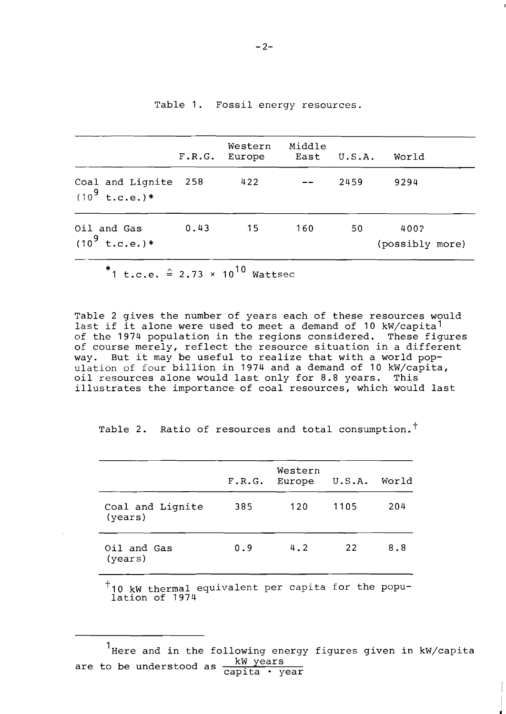Table 1. Fossil energy resources.

|                                               | F.R.G. | Western<br>Europe | Middle<br>East | U.S.A. | World                   |
|-----------------------------------------------|--------|-------------------|----------------|--------|-------------------------|
| Coal and Lignite<br>$(10^9 \text{ t.c.e.})$ * | 258    | 422               |                | 2459   | 9294                    |
| Oil and Gas<br>$(10^9 \text{ t.c.e.})*$       | 0.43   | 15                | 160            | 50     | 400?<br>(possibly more) |

\*1 t.c.e.  $\hat{=} 2.73 \times 10^{10}$  Wattsec

Table 2 gives the number of years each of these resources would last if it alone were used to meet a demand of 10 kW/capita<sup>1</sup> of the 1974 population in the regions considered. These figures oE course merely, reflect the resource situation in a different way. But it may be useful to realize that with a world population of four billion in 1974 and a demand of 10 kW/capita, oil resources alone would last only for 8.8 years. This illustrates the importance of coal resources, which would last

Table 2. Ratio of resources and total consumption.<sup>†</sup>

|                             | F.R.G. | Western<br>Europe | U.S.A. | World |
|-----------------------------|--------|-------------------|--------|-------|
| Coal and Lignite<br>(years) | 385    | 120               | 1105   | 204   |
| Oil and Gas<br>(years)      | 0.9    | 4.2               | 22     | 8.8   |

'10 kW thermal equivalent per capita for the population of 1974

 $1$  Here and in the following energy figures given in kW/capita  $\frac{kW \text{ years}}{\text{capita} \cdot \text{ year}}$ are to be understood as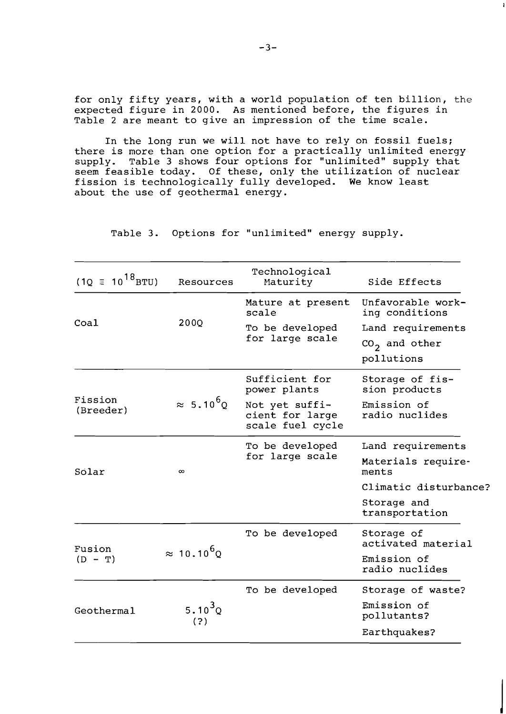for only fifty years, with a world population of ten billion, the expected figure in 2000. As mentioned before, the figures in Table 2 are meant to give an impression of the time scale.

In the long run we will not have to rely on fossil fuels; there is more than one option for a practically unlimited energy supply. Table 3 shows four options for "unlimited" supply that seem feasible today. Of these, only the utilization of nuclear fission is technologically fully developed. We know least about the use of geothermal energy.

Table 3. Options for "unlimited" energy supply.

| $(1Q \equiv 10^{18} B T U)$ | Resources             | Technological<br>Maturity                                                               | Side Effects                                                                                               |
|-----------------------------|-----------------------|-----------------------------------------------------------------------------------------|------------------------------------------------------------------------------------------------------------|
| Coa1                        | 200Q                  | Mature at present<br>scale<br>To be developed<br>for large scale                        | Unfavorable work-<br>ing conditions<br>Land requirements<br>$\cos$ and other<br>pollutions                 |
| Fission<br>(Breeder)        | $\approx 5.10^{6}$ O  | Sufficient for<br>power plants<br>Not yet suffi-<br>cient for large<br>scale fuel cycle | Storage of fis-<br>sion products<br>Emission of<br>radio nuclides                                          |
| Solar                       | $\infty$              | To be developed<br>for large scale                                                      | Land requirements<br>Materials require-<br>ments<br>Climatic disturbance?<br>Storage and<br>transportation |
| Fusion<br>$(D - T)$         | $\approx 10.10^{6}$ O | To be developed                                                                         | Storage of<br>activated material<br>Emission of<br>radio nuclides                                          |
| Geothermal                  | 5.10 $^{3}$ Q<br>(?)  | To be developed                                                                         | Storage of waste?<br>Emission of<br>pollutants?<br>Earthquakes?                                            |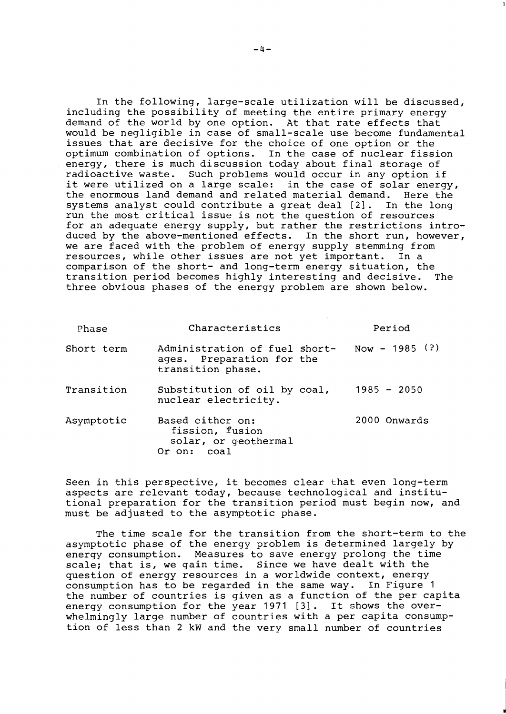In the following, large-scale utilization will be discussed, including the possibility of meeting the entire primary energy demand of the world by one option. At that rate effects that would be negligible in case of small-scale use become fundamental issues that are decisive for the choice of one option or the optimum combination of options. In the case of nuclear fission energy, there is much discussion today about final storage of radioactive waste. Such problems would occur in any option if it were utilized on a large scale: in the case of solar energy, the enormous land demand and related material demand. Here the systems analyst could contribute a great deal [21. In the long run the most critical issue is not the question of resources for an adequate energy supply, but rather the restrictions introduced by the above-mentioned effects. In the short run, however, we are faced with the problem of energy supply stemming from resources, while other issues are not yet important. In a comparison of the short- and long-term energy situation, the transition period becomes highly interesting and decisive. The three obvious phases of the energy problem are shown below.

| Phase      | Characteristics                                                                 | Period           |
|------------|---------------------------------------------------------------------------------|------------------|
| Short term | Administration of fuel short-<br>ages. Preparation for the<br>transition phase. | Now - 1985 $(?)$ |
| Transition | Substitution of oil by coal,<br>nuclear electricity.                            | $1985 - 2050$    |
| Asymptotic | Based either on:<br>fission, fusion<br>solar, or geothermal<br>Or on: coal      | 2000 Onwards     |

Seen in this perspective, it becomes clear that even long-term aspects are relevant today, because technological and institutional preparation for the transition period must begin now, and must be adjusted to the asymptotic phase.

The time scale for the transition from the short-term to the asymptotic phase of the energy problem is determined largely by energy consumption. Measures to save energy prolong the time scale; that is, we gain time. Since we have dealt with the question of energy resources in a worldwide context, energy consumption has to be regarded in the same way. In Figure 1 the number of countries is given as a function of the per capita energy consumption for the year 1971 [3]. It shows the overwhelmingly large number of countries with a per capita consumption of less than 2 **kW** and the very small number of countries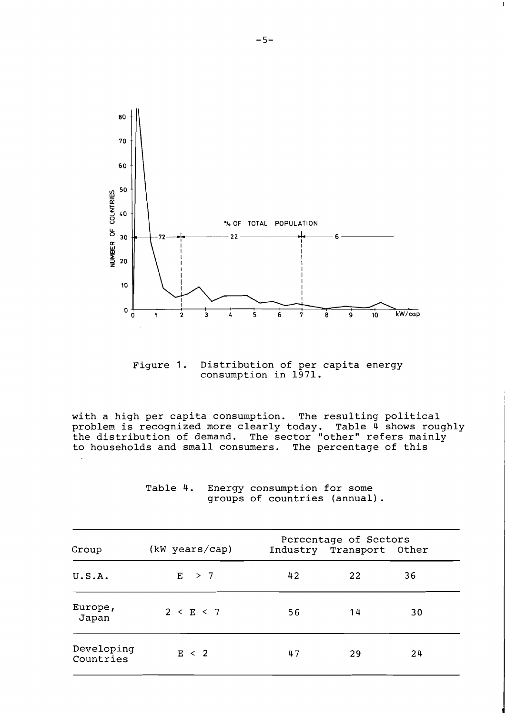

Figure 1. Distribution of per capita energy consumption in 1971.

with a high per capita consumption. The resulting political problem is recognized more clearly today. Table 4 shows roughly the distribution of demand. The sector "other" refers mainly to households and small consumers. The percentage of this  $\ddot{\phantom{a}}$ 

> Table 4. Energy consumption for some groups of countries (annual) .

| Group                   | (kW years/cap) |    | Percentage of Sectors<br>Industry Transport Other |    |
|-------------------------|----------------|----|---------------------------------------------------|----|
| U.S.A.                  | E > 7          | 42 | 22                                                | 36 |
| Europe,<br>Japan        | 2 < E < 7      | 56 | 14                                                | 30 |
| Developing<br>Countries | E < 2          | 47 | 29                                                | 24 |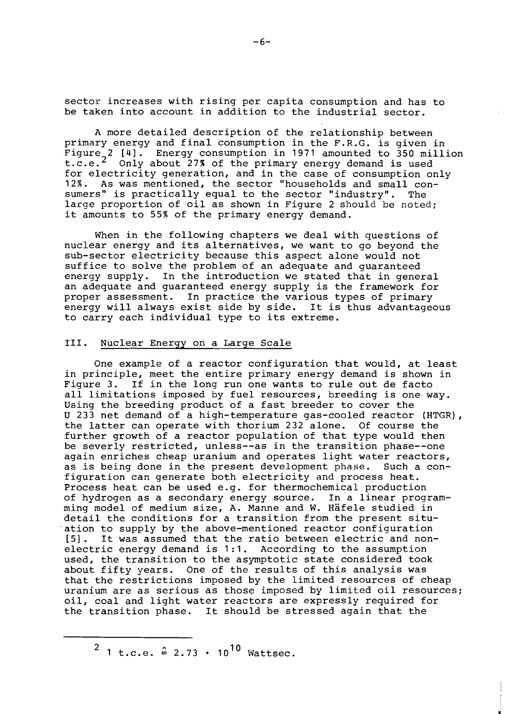sector increases with rising per capita consumption and has to be taken into account in addition to the industrial sector.

A more detailed description of the relationship between primary energy and final consumption in the F.R.G. is given in Figure **2** [4]. Energy consumption in **1971** amounted to **350** million t.c.e. Only about **27%** of the primary energy demand is used for electricity generation, and in the case of consumption only **12%.** AS was mentioned, the sector "households and small consumers" is practically equal to the sector "industry". The large proportion of oil as shown in Figure **2** should be noted; it amounts to **55%** of the primary energy demand.

When in the following chapters we deal with questions of nuclear energy and its alternatives, we want to go beyond the sub-sector electricity because this aspect alone would not suffice to solve the problem of an adequate and guaranteed energy supply. In the introduction we stated that in general an adequate and guaranteed energy supply is the framework for proper assessment. In practice the various types of primary energy will always exist side by side. It is thus advantageous to carry each individual type to its extreme.

#### III. Nuclear Energy on a Large Scale

One example of a reactor configuration that would, at least in principle, meet the entire primary energy demand is shown in Figure 3. If in the long run one wants to rule out de facto all limitations imposed by fuel resources, breeding is one way. Using the breeding product of a fast breeder to cover the U **233** net demand of a high-temperature gas-cooled reactor (HTGR), the latter can operate with thorium **232** alone. Of course the further growth of a reactor population of that type would then be severly restricted, unless--as in the transition phase--one again enriches cheap uranium and operates light water reactors, as is being done in the present development phase. Such a configuration can generate both electricity and process heat. Process heat can be used e.g. for thermochemical production of hydrogen as a secondary energy source. In a linear programming model of medium size, A. Manne and W. Hafele studied in detail the conditions for a transition from the present situ-Ation to supply by the above-mentioned reactor configuration<br>[5]. It was assumed that the ratio between electric and non-It was assumed that the ratio between electric and nonelectric energy demand is **1:l.** According to the assumption used, the transition to the asymptotic state considered took about fifty years. One of the results of this analysis was that the restrictions imposed by the limited resources of cheap uranium are as serious as those imposed by limited oil resources; oil, coal and light water reactors are expressly required for the transition phase. It should be stressed again that the

 $^{2}$  1 t.c.e.  $\hat{=}$  2.73  $\cdot$  10<sup>10</sup> Wattsec.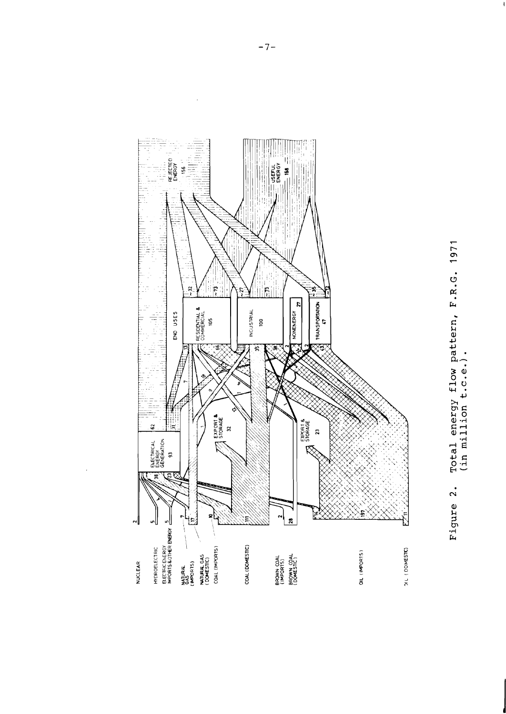

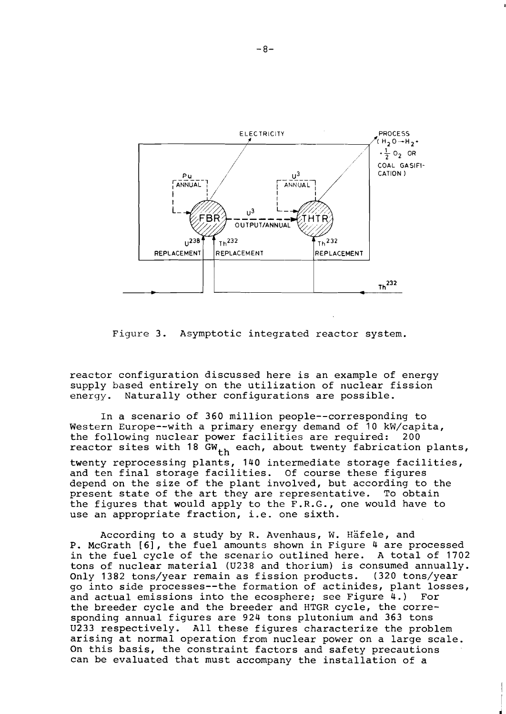

Figure 3. Asymptotic integrated reactor system.

reactor configuration discussed here is an example of energy supply based entirely on the utilization of nuclear fission energy. Naturally other configurations are possible.

In a scenario of 360 million people--corresponding to Western Europe--with a primary energy demand of 10 kW/capita,<br>the following nuclear power facilities are required: 200 the following nuclear power facilities are required: reactor sites with 18 GW<sub>th</sub> each, about twenty fabrication plants,

twenty reprocessing plants, 140 intermediate storage facilities, and ten final storage facilities. Of course these figures depend on the size of the plant involved, but according to the present state of the art they are representative. To obtain present state of the art they are representative. the figures that would apply to the F.R.G., one would have to use an appropriate fraction, i.e. one sixth.

According to a study by R. Avenhaus, W. Häfele, and P. McGrath [6], the fuel amounts shown in Figure 4 are processed in the fuel cycle of the scenario outlined here. A total of 1702 in the fuel cycle of the scenario outlined here. tons of nuclear material (U238 and thorium) is consumed annually. Only 1382 tons/year remain as fission products. (320 tons/year go into side processes--the formation of actinides, plant losses, and actual emissions into the ecosphere; see Figure 4.) For the breeder cycle and the breeder and HTGR cycle, the corresponding annual figures are 924 tons plutonium and 363 tons U233 respectively. All these figures characterize the problem arising at normal operation from nuclear power on a large scale. On this basis, the constraint factors and safety precautions can be evaluated that must accompany the installation of a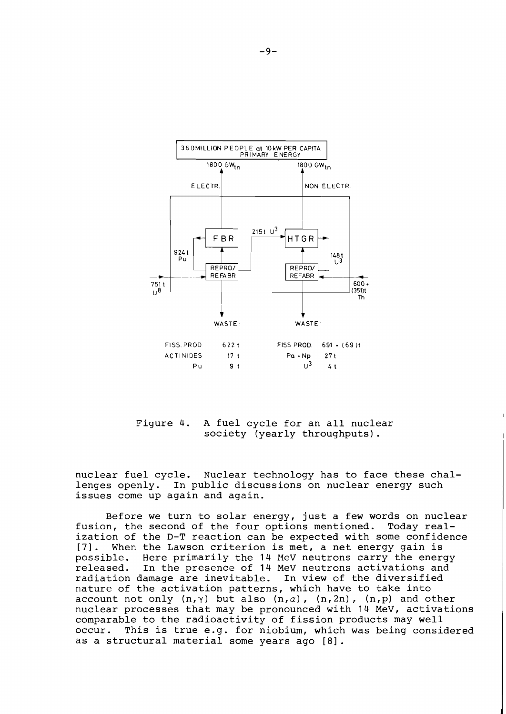

Figure 4. A fuel cycle for an all nuclear society (yearly throughputs) .

nuclear fuel cycle. Nuclear technology has to face these challenges openly. In public discussions on nuclear energy such issues come up again and again.

Before we turn to solar energy, just a few words on nuclear fusion, the second of the four options mentioned. Today realization of the D-T reaction can be expected with some confidence<br>[7]. When the Lawson criterion is met, a net energy gain is [7]. When the Lawson criterion is met, a net energy gain is possible. Here primarily the 14 MeV neutrons carry the ener possible. Here primarily the 14 MeV neutrons carry the energy<br>released. In the presence of 14 MeV neutrons activations and In the presence of 14 MeV neutrons activations and<br>lamage are inevitable. In view of the diversified radiation damage are inevitable. nature of the activation patterns, which have to take into account not only  $(n, \gamma)$  but also  $(n, a)$ ,  $(n, 2n)$ ,  $(n, p)$  and other nuclear processes that may be pronounced with 14 MeV, activations comparable to the radioactivity of fission products may well occur. This is true e.g. for niobium, which was being considered as a structural material some years ago [8].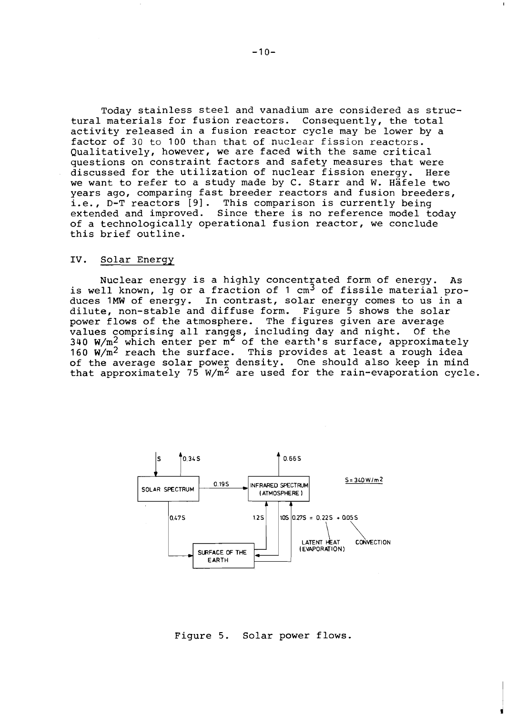Today stainless steel and vanadium are considered as structural materials for fusion reactors. Consequently, the total activity released in a fusion reactor cycle may be lower by a factor of 30 to **100** than that of nuclear fission reactors. Qualitatively, however, we are faced with the same critical questions on constraint factors and safety measures that were discussed for the utilization of nuclear fission energy. Here we want to refer to a study made by C. Starr and W. Häfele two years ago, comparing fast breeder reactors and fusion breeders, i.e., D-T reactors [9]. This comparison is currently being extended and improved. Since there is no reference model today of a technologically operational fusion reactor, we conclude this brief outline.

## IV. Solar Energy

Nuclear energy is a highly concentrated form of energy. As is well known, lg or a fraction of **1** cm3 of fissile material produces **1MW** of energy. In contrast, solar energy comes to us in a dilute, non-stable and diffuse form. Figure 5 shows the solar power flows of the atmosphere. The figures given are average values comprising all ranges, including day and night. Of the **340** w/m2 which enter per mf of the earth's surface, approximately **160** w/m2 reach the surface. This provides at least a rough idea of the average solar power density. One should also keep in mind that approximately 75 W/m<sup>2</sup> are used for the rain-evaporation cycle.



Figure 5. Solar power flows.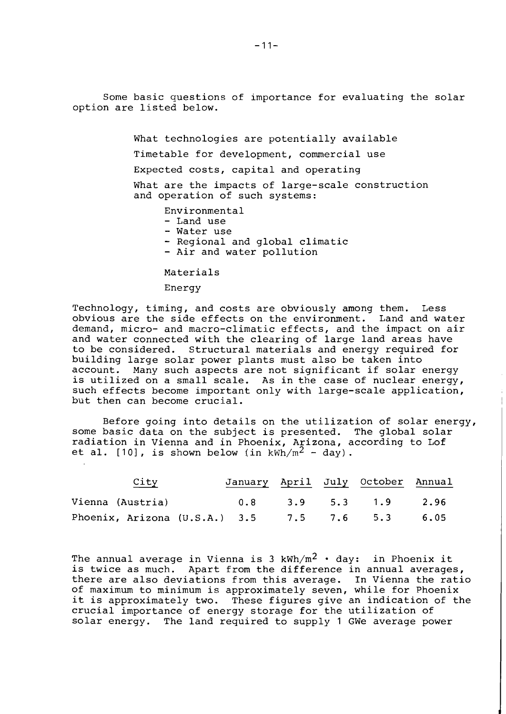Some basic questions of importance for evaluating the solar option are listed below.

What technologies are potentially available

Timetable for development, commercial use

Expected costs, capital and operating

What are the impacts of large-scale construction and operation of such systems:

Environmental

- Land use
- Water use
- Regional and global climatic
- Air and water pollution

Materials

Energy

Technology, timing, and costs are obviously among them. Less obvious are the side effects on the environment. Land and water demand, micro- and macro-climatic effects, and the impact on air and water connected with the clearing of large land areas have to be considered. Structural materials and energy required for building large solar power plants must also be taken into account. Many such aspects are not significant if solar energy is utilized on a small scale. As in the case of nuclear energy, such effects become important only with large-scale application, but then can become crucial.

Before going into details on the utilization of solar energy, some basic data on the subject is presented. The global solar radiation in Vienna and in Phoenix, Arizona, according to Lof et al. [10], is shown below (in  $kWh/m^2 - day$ ).

| City                                           |  | January April July October Annual |  |
|------------------------------------------------|--|-----------------------------------|--|
| Vienna (Austria)                               |  | $0.8$ 3.9 5.3 1.9 2.96            |  |
| Phoenix, Arizona (U.S.A.) 3.5 7.5 7.6 5.3 6.05 |  |                                   |  |

The annual average in Vienna is 3 kWh/m<sup>2</sup> · day: in Phoenix it is twice as much. Apart from the difference in annual averages, there are also deviations from this average. In Vienna the ratio of maximum to minimum is approximately seven, while for Phoenix it is approximately two. These figures give an indication of the crucial importance of energy storage for the utilization of solar energy. The land required to supply 1 GWe average power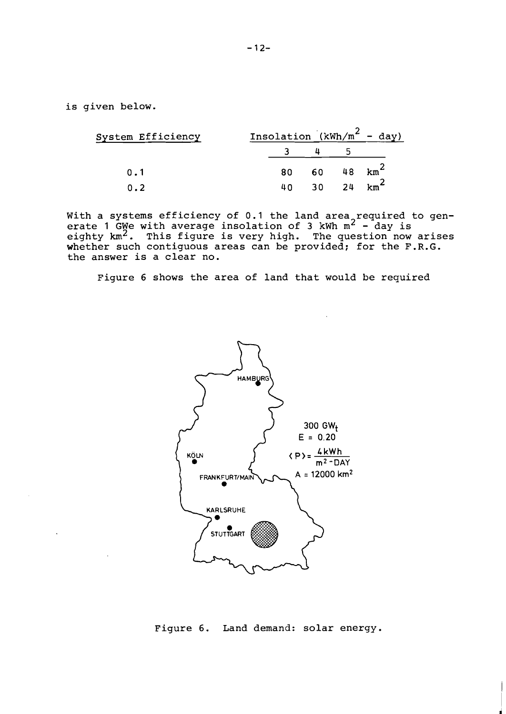is given below.

| System Efficiency |     |                 |              | Insolation $(kWh/m^2 - day)$ |
|-------------------|-----|-----------------|--------------|------------------------------|
|                   |     |                 |              |                              |
| 0.1               | 80. |                 | 60 48 $km^2$ |                              |
| 0.2               | 40  | 30 <sup>2</sup> |              | 24 $km^2$                    |

With a systems efficiency of 0.1 the land area required to gen-erate 1 GWe with average insolation of **3** kwh m2 - day is eighty  $km^2$ . This figure is very high. The question now arises whether such contiguous areas can be provided; for the F.R.G. the answer is a clear no.

Figure *6* shows the area of land that would be required



Figure *6.* Land demand: solar energy.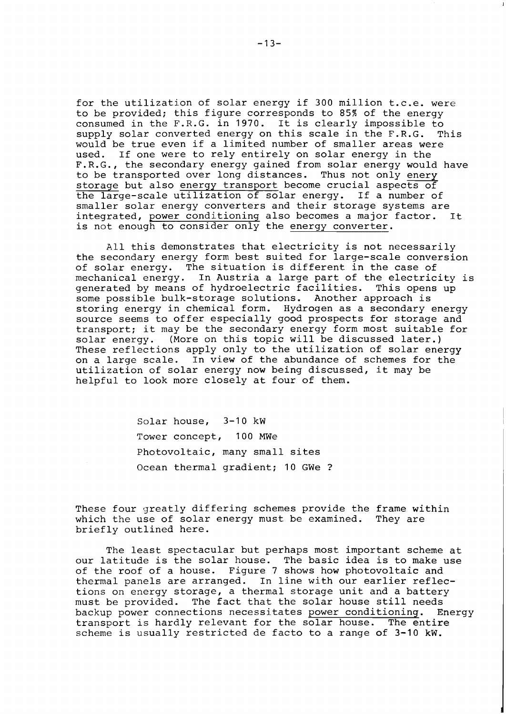for the utilization of solar energy if 300 million t.c.e. were to be provided; this figure corresponds to 85% of the energy consumed in the F.R.G. in 1970. It is clearly impossible to supply solar converted energy on this scale in the F.R.G. This supply solar converted energy on this scale in the F.R.G. would be true even if a limited number of smaller areas were used. If one were to rely entirely on solar energy in the F.R.G., the secondary energy gained from solar energy would have to be transported over long distances. Thus not only enery storage but also energy transport become crucial aspects of the large-scale utilization of solar energy. If a number of smaller solar energy converters and their storage systems are integrated, power conditioning also becomes a major factor. It is not enough to consider only the energy converter.

All this demonstrates that electricity is not necessarily the secondary energy form best suited for large-scale conversion of solar energy. The situation is different in the case of mechanical energy. In Austria a large part of the electricity is<br>generated by means of hydroelectric facilities. This opens up generated by means of hydroelectric facilities. some possible bulk-storage solutions. Another approach is storing energy in chemical form. Hydrogen as a secondary energy source seems to offer especially good prospects for storage and transport; it may be the secondary energy form most suitable for<br>solar energy. (More on this topic will be discussed later.) (More on this topic will be discussed later.) These reflections apply only to the utilization of solar energy on a large scale. In view of the abundance of schemes for the utilization of solar energy now being discussed, it may be helpful to look more closely at four of them.

> Solar house, 3-10 kW Tower concept, 100 MWe Photovoltaic, many small sites Ocean thermal gradient; 10 GWe ?

These four greatly differing schemes provide the frame within which the use of solar energy must be examined. They are briefly outlined here.

The least spectacular but perhaps most important scheme at our latitude is the solar house. The basic idea is to make use of the roof of a house. Figure 7 shows how photovoltaic and thermal panels are arranged. In line with our earlier reflections on energy storage, a thermal storage unit and a battery must be provided. The fact that the solar house still needs<br>backup power connections necessitates power conditioning. Energy backup power connections necessitates power conditioning. transport is hardly relevant for the solar house. The entire scheme is usually restricted de facto to a range of 3-10 kW.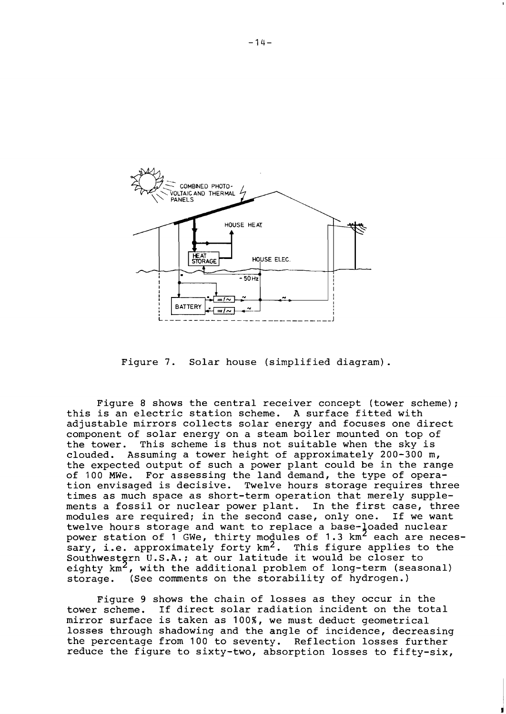

Figure 7. Solar house (simplified diagram).

Figure 8 shows the central receiver concept (tower scheme); this is an electric station scheme. A surface fitted with adjustable mirrors collects solar energy and focuses one direct component of solar energy on a steam boiler mounted on top of the tower. This scheme is thus not suitable when the sky is clouded. Assuming a tower height of approximately 200-300 m, the expected output of such a power plant could be in the range of 100 MWe. For assessing the land demand, the type of operation envisaged is decisive. Twelve hours storage requires three times as much space as short-term operation that merely supplements a fossil or nuclear power plant. In the first case, three modules are required; in the second case, only one. If we want twelve hours storage and want to replace a base-loaded nuclear power station of 1 GWe, thirty modules of 1.3 km $^{\prime}$  each are necessary, i.e. approximately forty  $km^2$ . This figure applies to the Southwestern U.S.A.; at our latitude it would be closer to eighty  $km^2$ , with the additional problem of long-term (seasonal) storage. (See comments on the storability of hydrogen.)

Figure 9 shows the chain of losses as they occur in the tower scheme. If direct solar radiation incident on the total mirror surface is taken as 100%, we must deduct geometrical losses through shadowing and the angle of incidence, decreasing the percentage from 100 to seventy. Reflection losses further reduce the figure to sixty-two, absorption losses to fifty-six,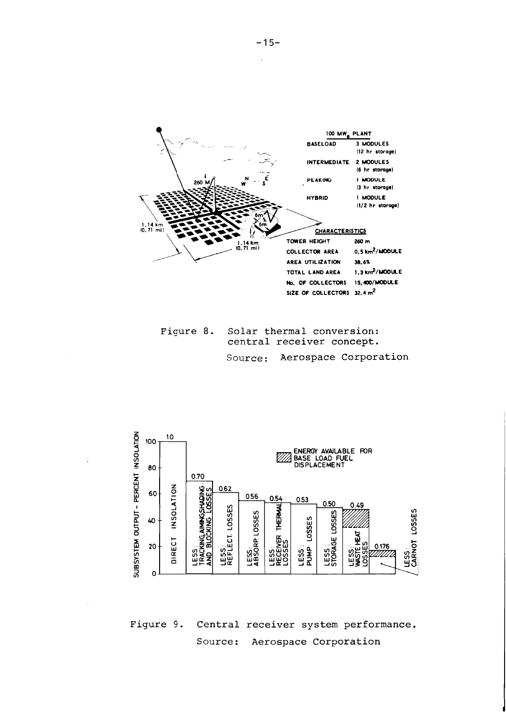

Figure 8. Solar thermal conversion: central receiver concept.

> Aerospace Corporation Source:



Central receiver system performance. Figure 9. Source: Aerospace Corporation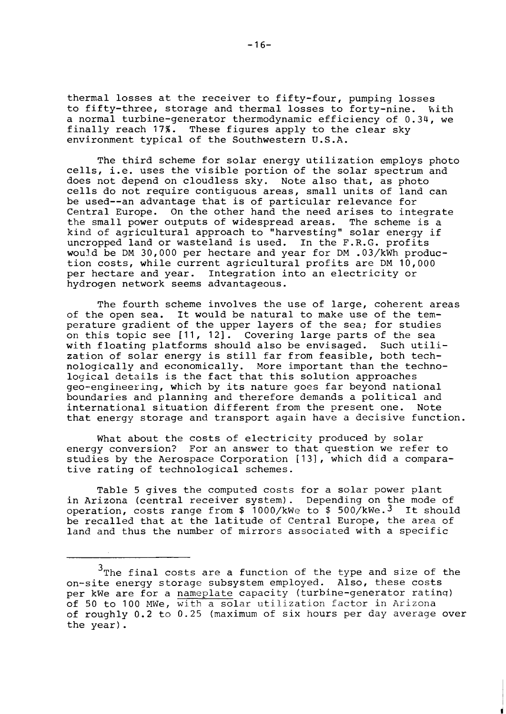thermal losses at the receiver to fifty-four, pumping losses to fifty-three, storage and thermal losses to forty-nine. hith a normal turbine-generator thermodynamic efficiency of 0.34, we finally reach 17%. These figures apply to the clear sky environment typical of the Southwestern U.S.A.

The third scheme for solar energy utilization employs photo cells, i.e. uses the visible portion of the solar spectrum and does not depend on cloudless sky. Note also that, as photo cells do not require contiguous areas, small units of land can be used--an advantage that is of particular relevance for Central Europe. On the other hand the need arises to integrate the small power outputs of widespread areas. The scheme is a kind of agricultural approach to "harvesting" solar energy if uncropped land or wasteland is used. In the F.R.G. profits would be DM 30,000 per hectare and year for DM .03/kWh production costs, while current agricultural profits are DM 10,000 per hectare and year. Integration into an electricity or hydrogen network seems advantageous.

The fourth scheme involves the use of large, coherent areas of the open sea. It would be natural to make use of the temperature gradient of the upper layers of the sea; for studies on this topic see [11, 12]. Covering large parts of the sea with floating platforms should also be envisaged. Such utilization of solar energy is still far from feasible, both technologically and economically. More important than the technological details is the fact that this solution approaches geo-engineering, which by its nature goes far beyond national boundaries and planning and therefore demands a political and international situation different from the present one. Note international situation different from the present one. that energy storage and transport again have a decisive function.

What about the costs of electricity produced by solar<br>energy conversion? For an answer to that question we refe. For an answer to that question we refer to studies by the Aerospace Corporation [13], which did a comparative rating of technological schemes.

Table 5 gives the computed costs for a solar power plant in Arizona (central receiver system). Depending on the mode of operation, costs range from \$ 1000/kWe to \$ 500/kWe.<sup>3</sup> It should be recalled that at the latitude of Central Europe, the area of land and thus the number of mirrors associated with a specific

 $3$ The final costs are a function of the type and size of the on-site energy storage subsystem employed. Also, these costs per kWe are for a nameplate capacity (turbine-generator ratinq) of 50 to 100 MWe, with a solar utilization factor in Arizona of roughly 0.2 to 0.25 (maximum of six hours per day average over the year) .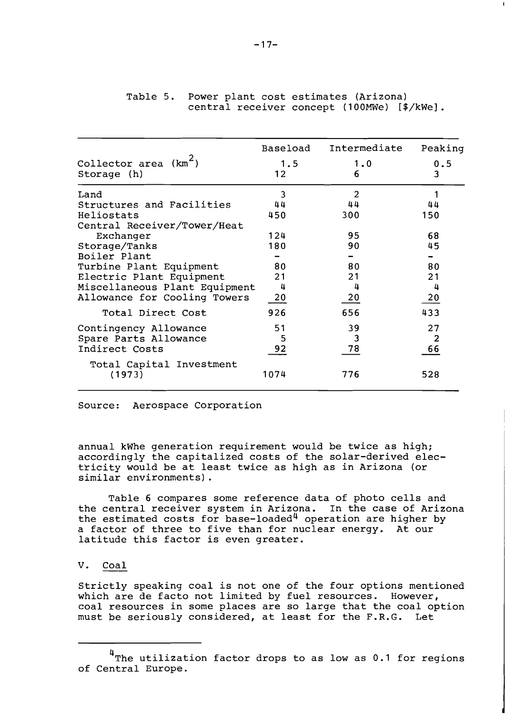|                                    | Baseload | Intermediate   | Peaking |
|------------------------------------|----------|----------------|---------|
| Collector area (km <sup>2</sup> )  | 1.5      | 1.0            | 0.5     |
| Storage (h)                        | 12       | 6              | 3       |
| Land                               | 3        | $\mathfrak{D}$ |         |
| Structures and Facilities          | 44       | 44             | 44      |
| Heliostats                         | 450      | 300            | 150     |
| Central Receiver/Tower/Heat        |          |                |         |
| Exchanger                          | 124      | 95             | 68      |
| Storage/Tanks                      | 180      | 90             | 45      |
| Boiler Plant                       |          |                |         |
| Turbine Plant Equipment            | 80       | 80             | 80      |
| Electric Plant Equipment           | 21       | 21             | 21      |
| Miscellaneous Plant Equipment      | 4        | Д              | 4       |
| Allowance for Cooling Towers       | 20       | 20             | 20      |
| Total Direct Cost                  | 926      | 656            | 433     |
| Contingency Allowance              | 51       | 39             | 27      |
| Spare Parts Allowance              | 5        | 3              | 2       |
| Indirect Costs                     | 92       | 78             | 66      |
| Total Capital Investment<br>(1973) | 1074     | 776            | 528     |
|                                    |          |                |         |

Table 5. Power plant cost estimates (Arizona) central receiver concept (100MWe) [\$/kWe].

Source: Aerospace Corporation

annual kWhe generation requirement would be twice as high; accordingly the capitalized costs of the solar-derived electricity would be at least twice as high as in Arizona (or similar environments).

Table 6 compares some reference data of photo cells and the central receiver system in Arizona. In the case of Arizona the estimated costs for base-loaded<sup>4</sup> operation are higher by a factor of three to five than for nuclear energy. At our latitude this factor is even greater.

## V. Coal

Strictly speaking coal is not one of the four options mentioned which are de facto not limited by fuel resources. However, coal resources in some places are so large that the coal option must be seriously considered, at least for the F.R.G. Let

<sup>&</sup>lt;sup>4</sup>The utilization factor drops to as low as 0.1 for regions of Central Europe.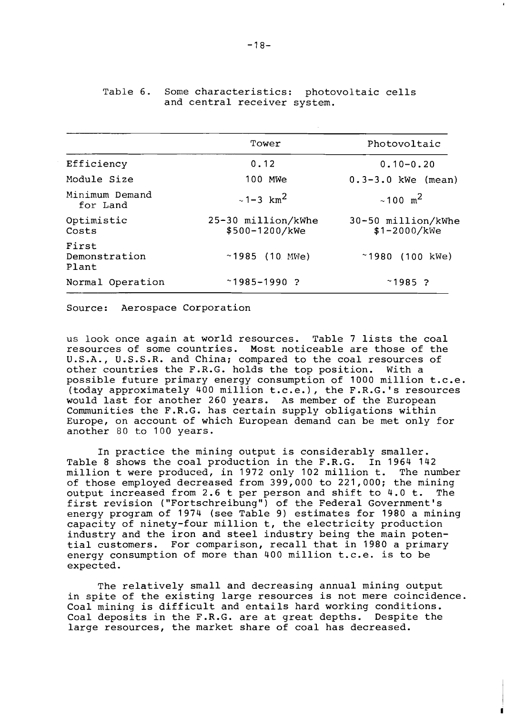|                                 | Tower                                | Photovoltaic                        |
|---------------------------------|--------------------------------------|-------------------------------------|
| Efficiency                      | 0.12                                 | $0.10 - 0.20$                       |
| Module Size                     | 100 MWe                              | $0.3 - 3.0$ kWe (mean)              |
| Minimum Demand<br>for Land      | $\sim 1 - 3$ km <sup>2</sup>         | $~100~{\rm m}^2$                    |
| Optimistic<br>Costs             | 25-30 million/kWhe<br>\$500-1200/kWe | 30-50 million/kWhe<br>$$1-2000/kWe$ |
| First<br>Demonstration<br>Plant | $~^{\sim}1985$ (10 MWe)              | $^{\sim}$ 1980<br>(100 kWe)         |
| Normal Operation                | $^{\sim}1985 - 1990$ ?               | $^{\sim}1985$ ?                     |

## Table 6. Some characteristics: photovoltaic cells and central receiver system.

Source: Aerospace Corporation

us look once again at world resources. Table 7 lists the coal resources of some countries. Most noticeable are those of the U.S.A., U.S.S.R. and China; compared to the coal resources of other countries the F.R.G. holds the top position. With a possible future primary energy consumption of 1000 million t.c.e. (today approximately 400 million t.c.e.1, the F.R.G.'s resources would last for another 260 years. As member of the European Communities the F.R.G. has certain supply obligations within Europe, on account of which European demand can be met only for another 80 to 100 years.

In practice the mining output is considerably smaller. Table 8 shows the coal production in the F.R.G. In 1964 142 million t were produced, in 1972 only 102 million t. The number of those employed decreased from 399,000 to 221,000; the mining output increased from 2.6 t per person and shift to 4.0 t. The first revision ("Fortschreibung") of the Federal Government's energy program of 1974 (see Table 9) estimates for 1980 a mining capacity of ninety-four million t, the electricity production industry and the iron and steel industry being the main potential customers. For comparison, recall that in 1980 a primary energy consumption of more than 400 million t.c.e. is to be expected.

The relatively small and decreasing annual mining output in spite of the existing large resources is not mere coincidence. Coal mining is difficult and entails hard working conditions. Coal deposits in the F.R.G. are at great depths. Despite the large resources, the market share of coal has decreased.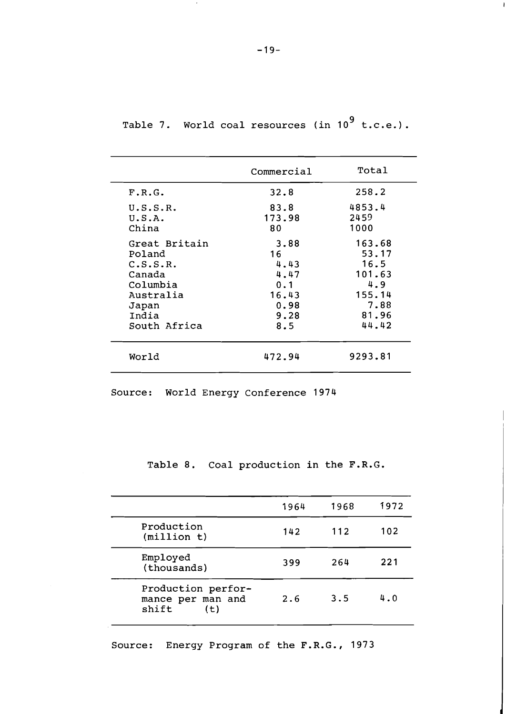|               | Commercial | Total   |
|---------------|------------|---------|
| F.R.G.        | 32.8       | 258.2   |
| U.S.S.R.      | 83.8       | 4853.4  |
| U.S.A.        | 173.98     | 2459    |
| China         | 80         | 1000    |
| Great Britain | 3.88       | 163.68  |
| Poland        | 16         | 53.17   |
| C.S.S.R.      | 4.43       | 16.5    |
| Canada        | 4.47       | 101.63  |
| Columbia      | 0.1        | 4.9     |
| Australia     | 16.43      | 155.14  |
| Japan         | 0.98       | 7.88    |
| India         | 9.28       | 81.96   |
| South Africa  | 8.5        | 44.42   |
| World         | 472.94     | 9293.81 |

|  | Table 7. World coal resources (in 10 $^{\circ}$ t.c.e.). |  |  |
|--|----------------------------------------------------------|--|--|
|  |                                                          |  |  |

Source: World Energy Conference **1974** 

Table 8. Coal production in the F.R.G.

|                                                         | 1964 | 1968 | 1972 |
|---------------------------------------------------------|------|------|------|
| Production<br>$(min1$ t)                                | 142  | 112  | 102  |
| Employed<br>(thousands)                                 | 399  | 264  | 221  |
| Production perfor-<br>mance per man and<br>shift<br>(t) | 2.6  | 3.5  | 4.0  |

Source: Energy Program of the F.R.G., **1973** 

 $\cdot$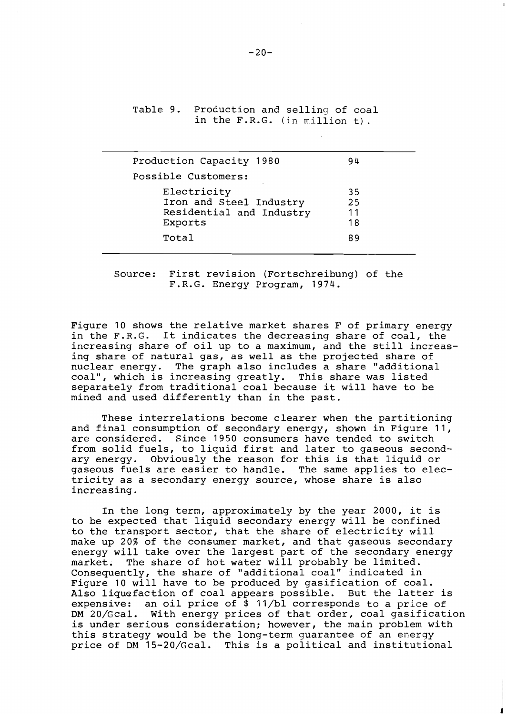| Table 9. Production and selling of coal |  |
|-----------------------------------------|--|
| in the F.R.G. (in million t).           |  |

| Production Capacity 1980                                                      | 94                   |  |
|-------------------------------------------------------------------------------|----------------------|--|
| Possible Customers:                                                           |                      |  |
| Electricity<br>Iron and Steel Industry<br>Residential and Industry<br>Exports | 35<br>25<br>11<br>18 |  |
| Total                                                                         | 89                   |  |

Source: First revision (Fortschreibung) of the F.R.G. Energy Program, 1974.

Figure 10 shows the relative market shares F of primary energy in the F.R.G. It indicates the decreasing share of coal, the increasing share of oil up to a maximum, and the still increasing share of natural gas, as well as the projected share of nuclear energy. The graph also includes a share "additional coal", which is increasing greatly. This share was listed separately from traditional coal because it will have to be mined and used differently than in the past.

These interrelations become clearer when the partitioning and final consumption of secondary energy, shown in Figure 11, are considered. Since 1950 consumers have tended to switch from solid fuels, to liquid first and later to gaseous secondary energy. Obviously the reason for this is that liquid or gaseous fuels are easier to handle. The same applies to electricity as a secondary energy source, whose share is also increasing.

In the long term, approximately by the year 2000, it is to be expected that liquid secondary energy will be confined to the transport sector, that the share of electricity will make up 20% of the consumer market, and that gaseous secondary energy will take over the largest part of the secondary energy market. The share of hot water will probably be limited. Consequently, the share of "additional coal" indicated in Figure 10 will have to be produced by gasification of coal. Also liquefaction of coal appears possible. But the latter is expensive: an oil price of  $$ 11/b1$  corresponds to a price of DM 20/Gcal. With energy prices of that order, coal gasification is under serious consideration; however, the main problem with this strategy would be the long-term guarantee of an energy price of DM 15-20/Gcal. This is a political and institutional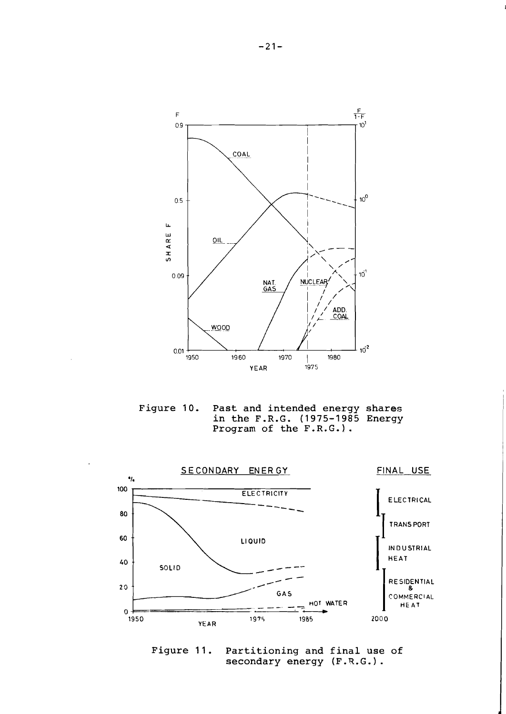





Figure 11. Partitioning and final use of secondary energy (F.R.G.).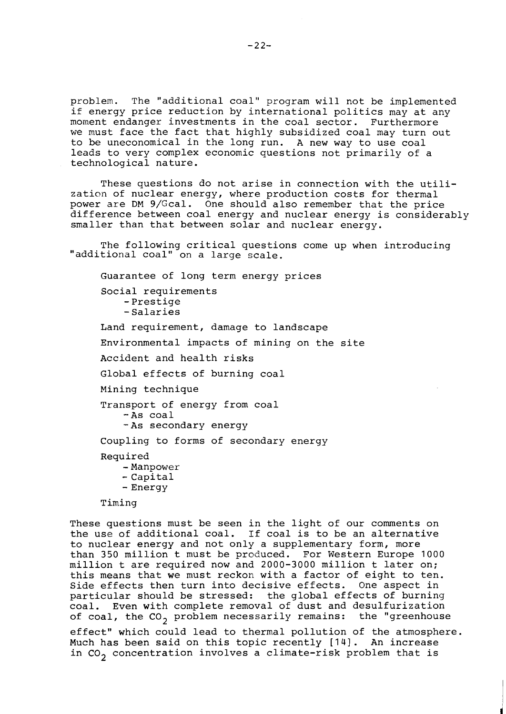problem. The "additional coal" program will not be implemented if energy price reduction by international politics may at any moment endanger investments in the coal sector. Furthermore we must face the fact that highly subsidized coal may turn out to be uneconomical in the long run. A new way to use coal leads to very complex economic questions not primarily of a technological nature.

These questions do not arise in connection with the utilization of nuclear energy, where production costs for thermal power are DM 9/Gcal. One should also remember that the price difference between coal energy and nuclear energy is considerably smaller than that between solar and nuclear energy.

The following critical questions come up when introducing "additional coal" on a large scale.

Guarantee of long term energy prices Social requirements -Prestige -Salaries

Land requirement, damage to landscape Environmental impacts of mining on the site Accident and health risks Global effects of burning coal Mining technique Transport of energy from coal

-As coal -As secondary energy

Coupling to forms of secondary energy

Required

- Manpower - Capital

- Energy

Timing

These questions must be seen in the light of our comments on the use of additional coal. If coal is to be an alternative to nuclear energy and not only a supplementary form, more than 350 million t must be prcduced. For Western Europe 1000 million t are required now and 2000-3000 million t later on; this means that we must reckon with a factor of eight to ten. Side effects then turn into decisive effects. One aspect in particular should be stressed: the global effects of burning coal. Even with complete removal of dust and desulfurization of coal, the  $CO<sub>2</sub>$  problem necessarily remains: the "greenhouse effect" which could lead to thermal pollution of the atmosphere.

Much has been said on this topic recently [14]. An increase in  $CO<sub>2</sub>$  concentration involves a climate-risk problem that is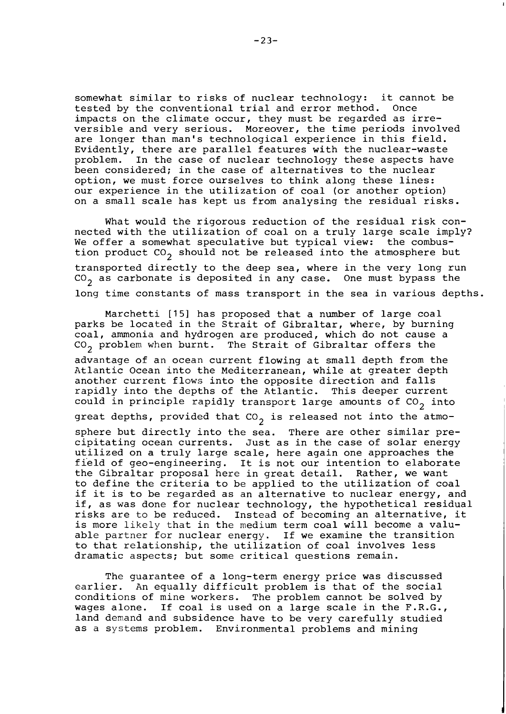somewhat similar to risks of nuclear technology: it cannot be tested by the conventional trial and error method. Once impacts on the climate occur, they must be regarded as irreversible and very serious. Moreover, the time periods involved are longer than man's technological experience in this field. Evidently, there are parallel features with the nuclear-waste problem. In the case of nuclear technology these aspects have been considered; in the case of alternatives to the nuclear option, we must force ourselves to think along these lines: our experience in the utilization of coal (or another option) on a small scale has kept us from analysing the residual risks.

What would the rigorous reduction of the residual risk connected with the utilization of coal on a truly large scale imply? We offer a somewhat speculative but typical view: the combustion product  $CO<sub>2</sub>$  should not be released into the atmosphere but transported directly to the deep sea, where in the very long run  $CO<sub>2</sub>$  as carbonate is deposited in any case. One must bypass the long time constants of mass transport in the sea in various depths.

Marchetti [I51 has proposed that a number of large coal parks be located in the Strait of Gibraltar, where, by burning coal, ammonia and hydrogen are produced, which do not cause a  $CO<sub>2</sub>$  problem when burnt. The Strait of Gibraltar offers the advantage of an ocean current flowing at small depth from the Atlantic Ocean into the Mediterranean, while at greater depth another current flows into the opposite direction and falls rapidly into the depths of the Atlantic. This deeper current could in principle rapidly transport large amounts of  $CO<sub>2</sub>$  into great depths, provided that  $CO_2$  is released not into the atmosphere but directly into the sea. There are other similar precipitating ocean currents. Just as in the case of solar energy utilized on a truly large scale, here again one approaches the field of geo-engineering. It is not our intention to elaborate the Gibraltar proposal here in great detail. Rather, we want to define the criteria to be applied to the utilization of coal if it is to be regarded as an alternative to nuclear energy, and if, as was done for nuclear technology, the hypothetical residual risks are to be reduced. Instead of becoming an alternative, it is more likely that in the medium term coal will become a valuable partner for nuclear energy. If we examine the transition to that relationship, the utilization of coal involves less dramatic aspects; but some critical questions remain.

The guarantee of a long-term energy price was discussed earlier. An equally difficult problem is that of the social conditions of mine workers. The problem cannot be solved by wages alone. If coal is used on a large scale in the F.R.G., land demand and subsidence have to be very carefully studied as a systems problem. Environmental problems and mining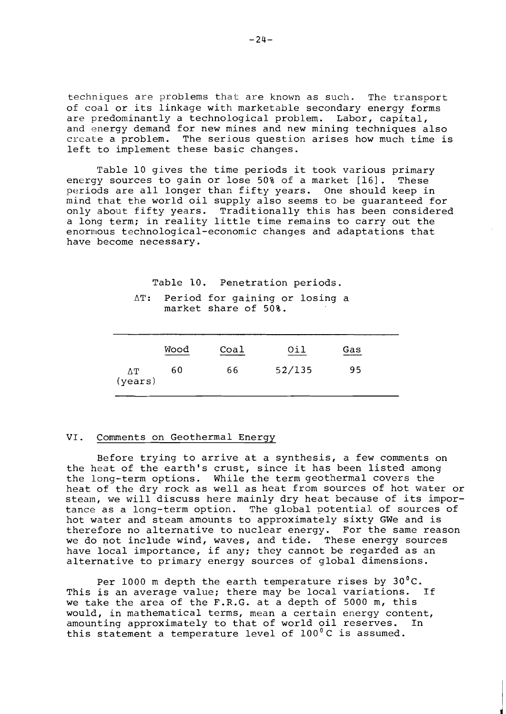techniques are problems that are known as such. The transport of coal or its linkage with marketable secondary energy forms are predominantly a technological problem. Labor, capital, and energy demand for new mines and new mining techniques also create a problem. The serious question arises how much time is left to implement these basic changes.

Table 10 gives the time periods it took various primary<br>v sources to gain or lose 50% of a market [16]. These energy sources to gain or lose 50% of a market  $[16]$ . periods are all longer than fifty years. One should keep in mind that the world oil supply also seems to be guaranteed for only about fifty years. Traditionally this has been considered a long term; in reality little time remains to carry out the enormous technological-economic changes and adaptations that have become necessary.

> Table 10. Penetration periods. AT: Period for gaining or losing a market share of 50%.

| ---                    |      | market share of 50%. | $101100$ $101$ guilling of footing $\alpha$ |     |  |
|------------------------|------|----------------------|---------------------------------------------|-----|--|
|                        | Wood | Coal                 | 0i1                                         | Gas |  |
| $\Lambda$ T<br>(years) | 60   | 66                   | 52/135                                      | 95  |  |

## **VI.** Comments on Geothermal Energy

Before trying to arrive at a synthesis, a few comments on the heat of the earth's crust, since it has been listed among the long-term options. While the term geothermal covers the heat of the dry rock as well as heat from sources of hot water or steam, we will discuss here mainly dry heat because of its importance as a long-term option. The global potential of sources of hot water and steam amounts to approximately sixty GWe and is therefore no alternative to nuclear energy. For the same reason we do not include wind, waves, and tide. These energy sources have local importance, if any; they cannot be regarded as an alternative to primary energy sources of global dimensions.

Per 1000 m depth the earth temperature rises by  $30^{\circ}$ C. This is an average value; there may be local variations. If we take the area of the F.R.G. at a depth of 5000 m, this would, in mathematical terms, mean a certain energy content, amounting approximately to that of world oil reserves. In this statement a temperature level of  $100^{\circ}$ C is assumed.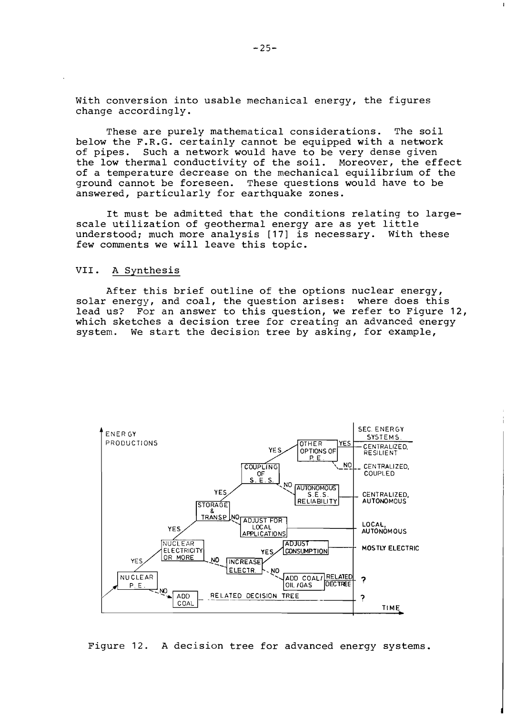With conversion into usable mechanical energy, the figures change accordingly.

These are purely mathematical considerations. The soil below the F.R.G. certainly cannot be equipped with a network of pipes. Such a network would have to be very dense given the low thermal conductivity of the soil. Moreover, the effect of a temperature decrease on the mechanical equilibrium of the ground cannot be foreseen. These questions would have to be answered, particularly for earthquake zones.

It must be admitted that the conditions relating to largescale utilization of geothermal energy are as yet little<br>understood; much more analysis [17] is necessary. With these understood; much more analysis  $[17]$  is necessary. few comments we will leave this topic.

## VII. A Synthesis

After this brief outline of the options nuclear energy, solar energy, and coal, the question arises: where does this lead us? For an answer to this question, we refer to Figure 12, which sketches a decision tree for creating an advanced energy system. We start the decision tree by asking, for example,



Figure 12. A decision tree for advanced energy systems.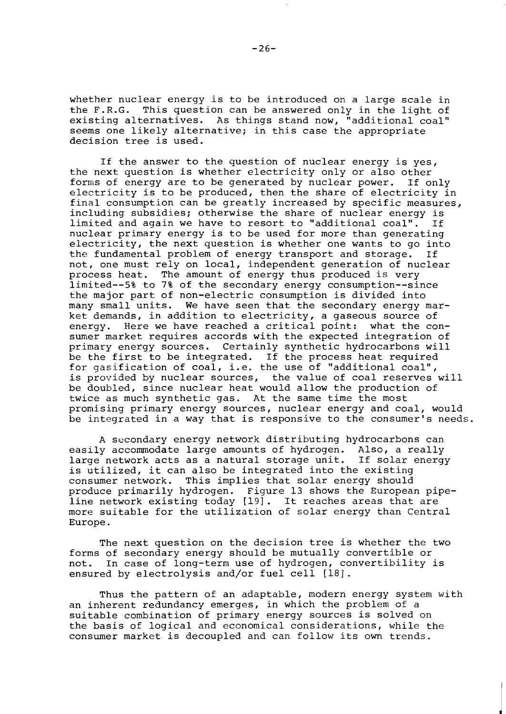whether nuclear energy is to be introduced on a large scale in the F.R.G. This question can be answered only in the light of This question can be answered only in the light of existing alternatives. As things stand now, "additional coal" seems one likely alternative; in this case the appropriate decision tree is used.

If the answer to the question of nuclear energy is yes, the next question is whether electricity only or also other<br>forms of energy are to be generated by nuclear power. If only forms of energy are to be generated by nuclear power. electricity is to be produced, then the share of electricity in final consumption can be greatly increased by specific measures, including subsidies; otherwise the share of nuclear energy is limited and again we have to resort to "additional coal". If nuclear primary energy is to be used for more than generating electricity, the next question is whether one wants to go into the fundamental problem of energy transport and storage. If not, one must rely on local, independent generation of nuclear<br>process heat. The amount of energy thus produced is very The amount of energy thus produced is very limited--5% to 7% of the secondary energy consumption--since the major part of non-electric consumption is divided into many small units. We have seen that the secondary energy market demands, in addition to electricity, a gaseous source of energy. Here we have reached a critical point: what the consumer market requires accords with the expected integration of primary energy sources. Certainly synthetic hydrocarbons will be the first to be integrated. If the process heat required for gasification of coal, i.e. the use of "additional coal", is provided by nuclear sources, the value of coal reserves will be doubled, since nuclear heat would allow the production of twice as much synthetic gas. At the same time the most promising primary energy sources, nuclear energy and coal, would be integrated in a way that is responsive to the consumer's needs.

A secondary energy network distributing hydrocarbons can easily accommodate large amounts of hydrogen. Also, a really large network acts as a natural storage unit. If solar energy is utilized, it can also be integrated into the existing consumer network. This implies that solar energy should produce primarily hydrogen. Figure 13 shows the European pipeline network existing today [19]. It reaches areas that are more suitable for the utilization of solar energy than Central Europe.

The next question on the decision tree is whether the two forms of secondary energy should be mutually convertible or not. In case of long-term use of hydrogen, convertibility is ensured by electrolysis and/or fuel cell [18].

Thus the pattern of an adaptable, modern energy system with an inherent redundancy emerges, in which the problem of a suitable combination of primary energy sources is solved on the basis of logical and economical considerations, while the consumer market is decoupled and can follow its own trends.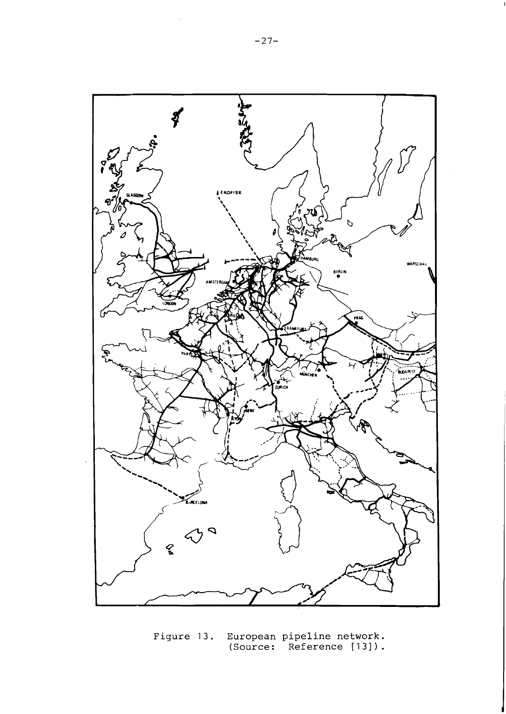

European pipeline network.<br>(Source: Reference [13]). Figure 13.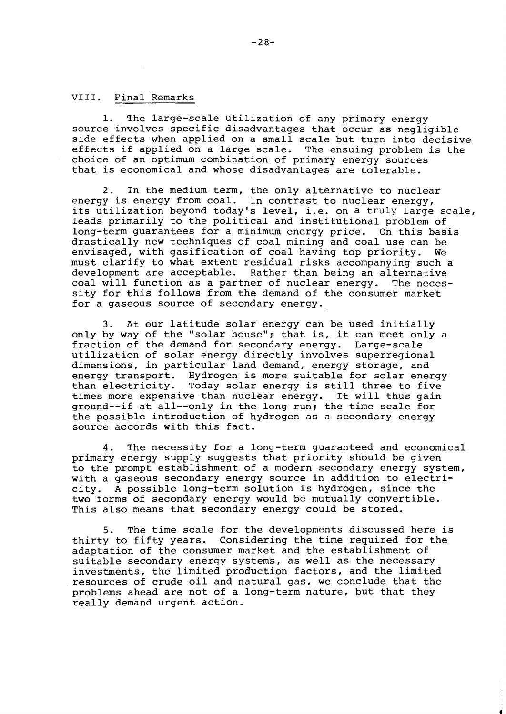### VIII. Final Remarks

1. The large-scale utilization of any primary energy source involves specific disadvantages that occur as negligible side effects when applied on a small scale but turn into decisive effects if applied on a large scale. The ensuing problem is the choice of an optimum combination of primary energy sources that is economical and whose disadvantages are tolerable.

2. In the medium term, the only alternative to nuclear energy is energy from coal. In contrast to nuclear energy, its utilization beyond today's level, i.e. on a truly large scale, leads primarily to the political and institutional problem of long-term guarantees for a minimum energy price. On this basis drastically new techniques of coal mining and coal use can be envisaged, with gasification of coal having top priority. We must clarify to what extent residual risks accompanying such a development are acceptable. Rather than being an alternative coal will function as a partner of nuclear energy. The necessity for this follows from the demand of the consumer market for a gaseous source of secondary energy.

3. At our latitude solar energy can be used initially only by way of the "solar house"; that is, it can meet only a fraction of the demand for secondary energy. Large-scale fraction of the demand for secondary energy. utilization of solar energy directly involves superregional dimensions, in particular land demand, energy storage, and<br>energy transport. Hydrogen is more suitable for solar ener energy transport. Hydrogen is more suitable for solar energy<br>than electricity. Today solar energy is still three to five Today solar energy is still three to five<br>re than nuclear energy. It will thus gain times more expensive than nuclear energy. ground--if at all--only in the long run; the time scale for the possible introduction of hydrogen as a secondary energy source accords with this fact.

4. The necessity for a long-term guaranteed and economical primary energy supply suggests that priority should be given to the prompt establishment of a modern secondary energy system, with a gaseous secondary energy source in addition to electricity. A possible long-term solution is hydrogen, since the two forms of secondary energy would be mutually convertible. This also means that secondary energy could be stored.

5. The time scale for the developments discussed here is thirty to fifty years. Considering the time required for the adaptation of the consumer market and the establishment of suitable secondary energy systems, as well as the necessary investments, the limited production factors, and the limited resources of crude oil and natural gas, we conclude that the problems ahead are not of a long-term nature, but that they really demand urgent action.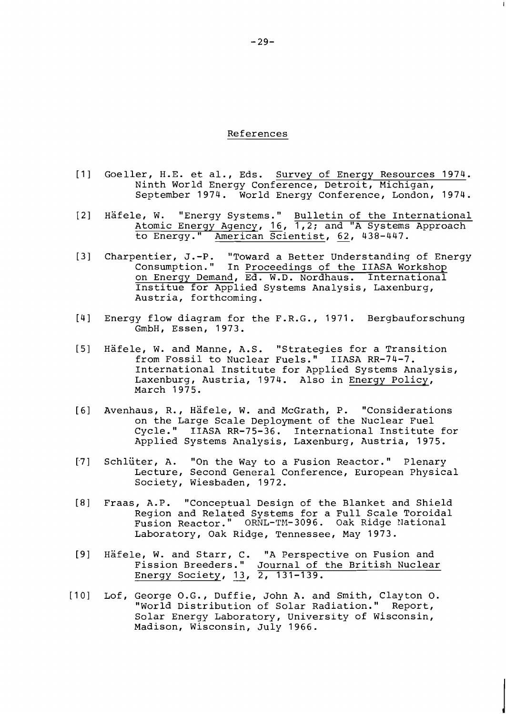## References

- [I] Goeller, H.E. et al., Eds. Survey of Energy Resources 1974. Ninth World Energy Conference, Detroit, Michigan, September 1974. World Energy Conference, London, 1974.
- [2] Häfele, W. "Energy Systems." Bulletin of the International Atomic Energy Agency, 16, 1,2; and "A Systems Approach e, W. "Energy Systems." <u>Bulletin of the Int</u><br>Atomic Energy Agency, 16, 1,2; and "A Systems<br>to Energy." <u>American Scientist</u>, <u>62</u>, 438-447.
- $\lceil 3 \rceil$ Charpentier, J.-P. "Toward a Better Understanding of Energy Consumption." In Proceedings of the IIASA Workshop on Energy Demand, Ed. W.D. Nordhaus. International Institue for Applied Systems Analysis, Laxenburg, Austria, forthcoming.
- $[4]$ Energy flow diagram for the F.R.G., 1971. Bergbauforschung GmbH, Essen, 1973.
- $[5]$ Häfele, W. and Manne, A.S. "Strategies for a Transition from Fossil to Nuclear Fuels." IIASA RR-74-7. International Institute for Applied Systems Analysis, Laxenburg, Austria, 1974. Also in Energy Policy, March 1975.
- $[6]$ Avenhaus, R., Häfele, W. and McGrath, P. "Considerations on the Large Scale Deployment of the Nuclear Fuel Cycle." IIASA RR-75-36. International Institute for Applied Systems Analysis, Laxenburg, Austria, 1975.
- $\lceil 7 \rceil$ Schlüter, A. "On the Way to a Fusion Reactor." Plenary Lecture, Second General Conference, European Physical Society, Wiesbaden, 1972.
- $[8]$ Fraas, A.P. "Conceptual Design of the Blanket and Shield Region and Related Systems for a Full Scale Toroidal Fusion Reactor." ORNL-TM-3096. Oak Ridge National Laboratory, Oak Ridge, Tennessee, May 1973.
- e, W. and Starr, C. "A Perspec<br>Fission Breeders." <u>Journal of<br>Energy Society</u>, <u>13</u>, 2, 131-139. Häfele, W. and Starr, C. "A Perspective on Fusion and  $[9]$ Fission Breeders." Journal of the British Nuclear<br>Energy Society, 13, 2, 131-139.
- Lof, George O.G., Duffie, John A. and Smith, Clayton 0.  $[10]$ "World Distribution of Solar Radiation." Report, Solar Energy Laboratory, University of Wisconsin, Madison, Wisconsin, July 1966.